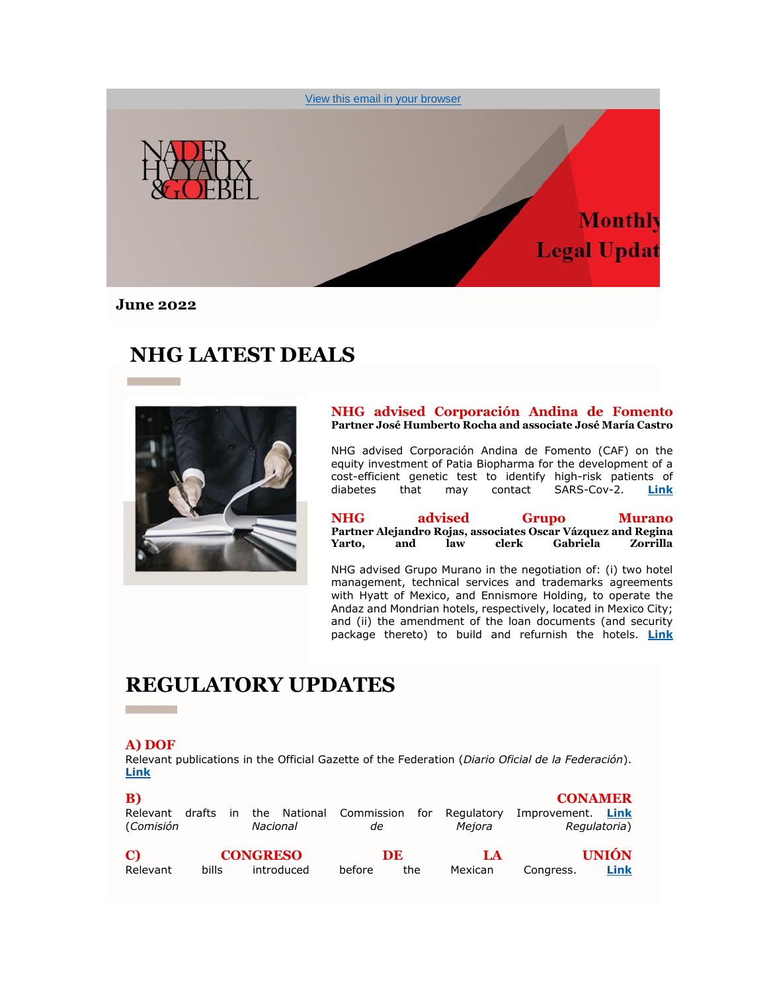

**June 2022**

## **NHG LATEST DEALS**



**NHG advised Corporación Andina de Fomento Partner José Humberto Rocha and associate José María Castro** 

NHG advised Corporación Andina de Fomento (CAF) on the equity investment of Patia Biopharma for the development of a cost-efficient genetic test to identify high-risk patients of diabetes that may contact SARS-Cov-2. **[Link](https://nhg335.lt.acemlnb.com/Prod/link-tracker?notrack=1&redirectUrl=aHR0cHMlM0ElMkYlMkZ3d3cubmhnLm14JTJGZXMlMkZjYXNlJTJGbmhnLWFkdmlzZWQtdGhlLWNvcnBvcmFjaW9uLWFuZGluYS1kZS1mb21lbnRvLW9uLWEtcHJpdmF0ZS1lcXVpdHktZGVhbCUyRg==&sig=G6kTyrWHJKqnk9pdX6gXKz8oPbzvnb4mdvFu4THnhA7R&iat=1654802230&a=%7C%7C25487300%7C%7C&account=nhg335%2Eactivehosted%2Ecom&email=sf%2FV9l4ieKNMOZdeVagRzQ%3D%3D&s=ccd1870a579f2011876aca44733daec7&i=181A255A6A1871)**

| <b>NHG</b> |     | advised |       | Grupo                                                        | <b>Murano</b> |
|------------|-----|---------|-------|--------------------------------------------------------------|---------------|
|            |     |         |       | Partner Alejandro Rojas, associates Oscar Vázquez and Regina |               |
| Yarto,     | and | law     | clerk | Gabriela                                                     | Zorrilla      |

NHG advised Grupo Murano in the negotiation of: (i) two hotel management, technical services and trademarks agreements with Hyatt of Mexico, and Ennismore Holding, to operate the Andaz and Mondrian hotels, respectively, located in Mexico City; and (ii) the amendment of the loan documents (and security package thereto) to build and refurnish the hotels. **[Link](https://nhg335.lt.acemlnb.com/Prod/link-tracker?notrack=1&redirectUrl=aHR0cHMlM0ElMkYlMkZ3d3cubmhnLm14JTJGZW5fZ2IlMkZjYXNlJTJGbmhnLWFkdmlzZWQtZ3J1cG8tbXVyYW5vLWZvci11c2QtNDk3NTMwMDAlMkY=&sig=2L6MqYGWXgVhsryBkCvRPqQs6MPeLnk5qY1akrQaeQsH&iat=1654802230&a=%7C%7C25487300%7C%7C&account=nhg335%2Eactivehosted%2Ecom&email=sf%2FV9l4ieKNMOZdeVagRzQ%3D%3D&s=ccd1870a579f2011876aca44733daec7&i=181A255A6A1872)**

## **REGULATORY UPDATES**

#### **A) DOF**

**Contract Contract** 

Relevant publications in the Official Gazette of the Federation (*Diario Oficial de la Federación*). **[Link](https://nhg335.lt.acemlnb.com/Prod/link-tracker?notrack=1&redirectUrl=aHR0cHMlM0ElMkYlMkZ3d3cubmhnLm14JTJGd3AtY29udGVudCUyRnVwbG9hZHMlMkYyMDIyJTJGMDYlMkZOSEctOTQ2NDgtdjlBLUFjdHVhbGl6YWNpb25fTm9ybWF0aXZhXy1fTWF5b18yMDIyX0EucGRm&sig=mDxYwJgvu1LU44rGEKHAov2UJryM5YGKPVR7bHhH5CC&iat=1654802230&a=%7C%7C25487300%7C%7C&account=nhg335%2Eactivehosted%2Ecom&email=sf%2FV9l4ieKNMOZdeVagRzQ%3D%3D&s=ccd1870a579f2011876aca44733daec7&i=181A255A6A1868)**

| B)<br>Relevant<br>(Comisión | drafts | in | the<br>Nacional | National   | Commission<br>de | for       | Regulatory<br>Mejora | <b>CONAMER</b><br>Improvement. | Link<br>Regulatoria) |
|-----------------------------|--------|----|-----------------|------------|------------------|-----------|----------------------|--------------------------------|----------------------|
| C)<br>Relevant              | bills  |    | <b>CONGRESO</b> | introduced | before           | DE<br>the | LA<br>Mexican        | Congress.                      | <b>UNIÓN</b><br>Link |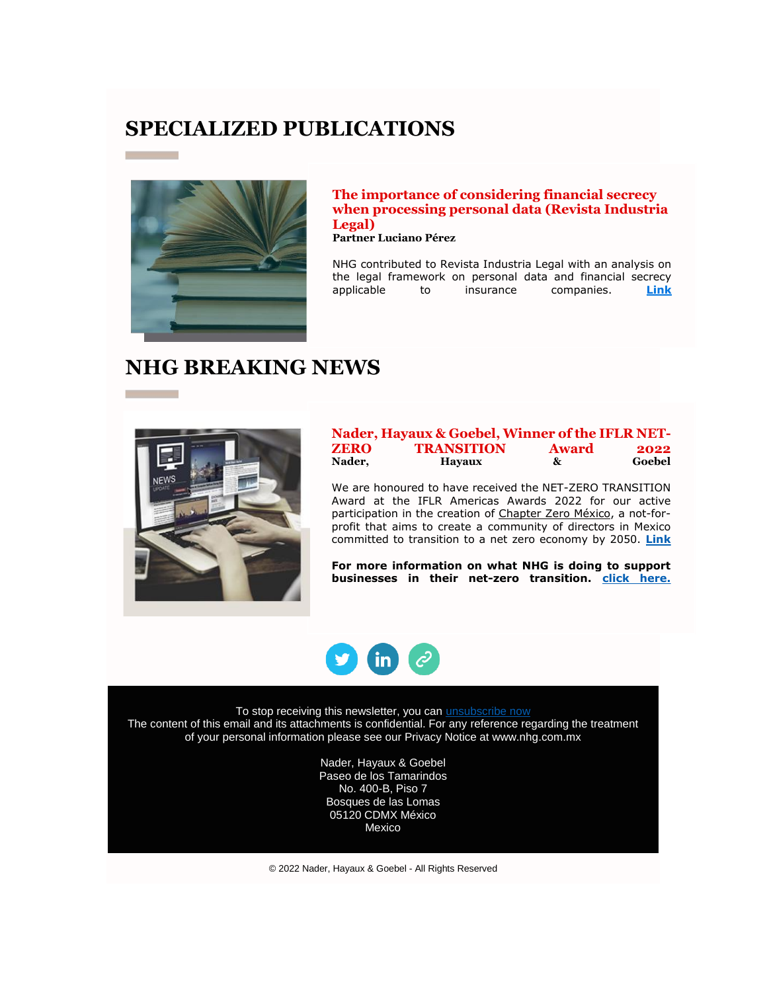### **SPECIALIZED PUBLICATIONS**



#### **The importance of considering financial secrecy when processing personal data (Revista Industria Legal)**

**Partner Luciano Pérez**

NHG contributed to Revista Industria Legal with an analysis on the legal framework on personal data and financial secrecy<br>applicable to insurance companies. **Link** to insurance companies. **[Link](https://nhg335.lt.acemlnb.com/Prod/link-tracker?notrack=1&redirectUrl=aHR0cHMlM0ElMkYlMkZ3d3cuZmxpcHNuYWNrLmNvbSUyRmNlamNoaWxlJTJGY29weS1vZi1pbmR1c3RyaWEtbGVnYWwtbS14LXZvbC02LW1heW8tMjAyMi10a3NnOG05emhtJTJGZnVsbC12aWV3Lmh0bWw=&sig=A3S8PL4g76GvyeWFy2s8KafLrww9ZjVpZ3y8NUME9T4D&iat=1654802230&a=%7C%7C25487300%7C%7C&account=nhg335%2Eactivehosted%2Ecom&email=sf%2FV9l4ieKNMOZdeVagRzQ%3D%3D&s=ccd1870a579f2011876aca44733daec7&i=181A255A6A1869)** 

# **NHG BREAKING NEWS**



|             | Nader, Hayaux & Goebel, Winner of the IFLR NET- |              |        |
|-------------|-------------------------------------------------|--------------|--------|
| <b>ZERO</b> | <b>TRANSITION</b>                               | <b>Award</b> | 2022   |
| Nader,      | <b>Havaux</b>                                   | &            | Goebel |

We are honoured to have received the NET-ZERO TRANSITION Award at the IFLR Americas Awards 2022 for our active participation in the creation of [Chapter Zero México,](https://nhg335.lt.acemlnb.com/Prod/link-tracker?notrack=1&redirectUrl=aHR0cHMlM0ElMkYlMkZ3d3cubGlua2VkaW4uY29tJTJGY29tcGFueSUyRmNoYXB0ZXJ6ZXJvLW1leGljbyUyRg==&sig=C7491Yu6oLMhcnFWT2ZFee1NCX5ffogmTCHeU1aZWGjK&iat=1654802230&a=%7C%7C25487300%7C%7C&account=nhg335%2Eactivehosted%2Ecom&email=sf%2FV9l4ieKNMOZdeVagRzQ%3D%3D&s=ccd1870a579f2011876aca44733daec7&i=181A255A6A1875) a not-forprofit that aims to create a community of directors in Mexico committed to transition to a net zero economy by 2050. **[Link](https://nhg335.lt.acemlnb.com/Prod/link-tracker?notrack=1&redirectUrl=aHR0cHMlM0ElMkYlMkZ3d3cuaWZsci5jb20lMkZhcnRpY2xlJTJGYjF5M3I5c2g3am4yeXElMkZpZmxyLWFtZXJpY2FzLWF3YXJkcy0yMDIyLXdpbm5lcnMtYW5ub3VuY2Vk&sig=8mshF1HTubf82hUXZHfUJBGoJ59j5jc8XRt2XcjzavLH&iat=1654802230&a=%7C%7C25487300%7C%7C&account=nhg335%2Eactivehosted%2Ecom&email=sf%2FV9l4ieKNMOZdeVagRzQ%3D%3D&s=ccd1870a579f2011876aca44733daec7&i=181A255A6A1870)**

**For more information on what NHG is doing to support businesses in their net-zero transition. [click here.](https://nhg335.lt.acemlnb.com/Prod/link-tracker?notrack=1&redirectUrl=aHR0cHMlM0ElMkYlMkZ3d3cubmhnLm14JTJGZW5fZ2IlMkY1MTc0LTIlMkY=&sig=9XpyFhynEzapv985Bw3qvxvG7uP2zVoTK3NBD55HvmL&iat=1654802230&a=%7C%7C25487300%7C%7C&account=nhg335%2Eactivehosted%2Ecom&email=sf%2FV9l4ieKNMOZdeVagRzQ%3D%3D&s=ccd1870a579f2011876aca44733daec7&i=181A255A6A1876)**



To stop receiving this newsletter, you can [unsubscribe now](https://nhg335.activehosted.com/unsubscribe/2) The content of this email and its attachments is confidential. For any reference regarding the treatment of your personal information please see our Privacy Notice at www.nhg.com.mx

> Nader, Hayaux & Goebel Paseo de los Tamarindos No. 400-B, Piso 7 Bosques de las Lomas 05120 CDMX México Mexico

© 2022 Nader, Hayaux & Goebel - All Rights Reserved